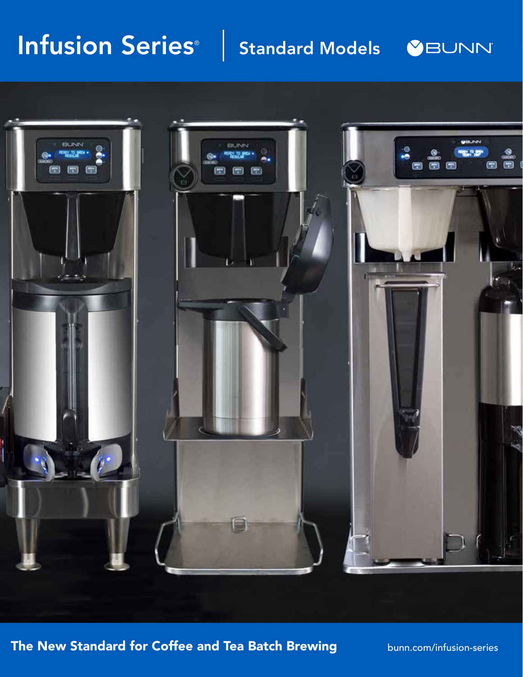## Infusion Series<sup>®</sup> Standard Models **&BUNN**



The New Standard for Coffee and Tea Batch Brewing **bunn.com/infusion-series**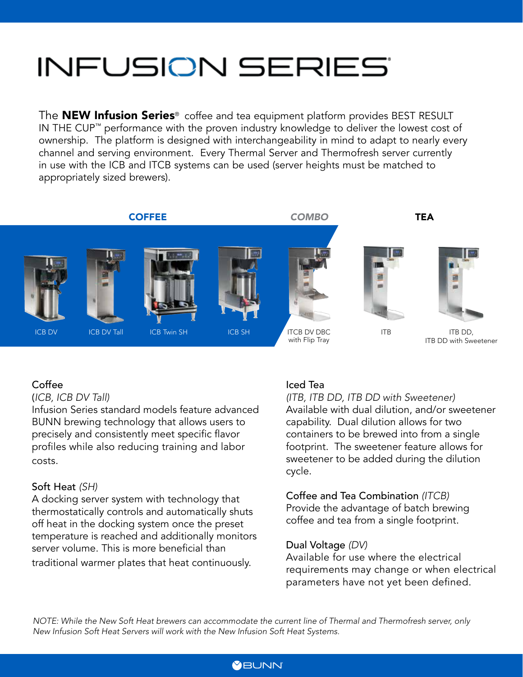# **INFUSION SERIES**

The **NEW Infusion Series**<sup>®</sup> coffee and tea equipment platform provides BEST RESULT IN THE CUP™ performance with the proven industry knowledge to deliver the lowest cost of ownership. The platform is designed with interchangeability in mind to adapt to nearly every channel and serving environment. Every Thermal Server and Thermofresh server currently in use with the ICB and ITCB systems can be used (server heights must be matched to appropriately sized brewers).



#### Coffee

#### (*ICB, ICB DV Tall)*

Infusion Series standard models feature advanced BUNN brewing technology that allows users to precisely and consistently meet specific flavor profiles while also reducing training and labor costs.

#### Soft Heat *(SH)*

A docking server system with technology that thermostatically controls and automatically shuts off heat in the docking system once the preset temperature is reached and additionally monitors server volume. This is more beneficial than traditional warmer plates that heat continuously.

## Iced Tea

*(ITB, ITB DD, ITB DD with Sweetener)*  Available with dual dilution, and/or sweetener capability. Dual dilution allows for two containers to be brewed into from a single footprint. The sweetener feature allows for sweetener to be added during the dilution cycle.

Coffee and Tea Combination *(ITCB)*  Provide the advantage of batch brewing coffee and tea from a single footprint.

## Dual Voltage *(DV)*

Available for use where the electrical requirements may change or when electrical parameters have not yet been defined.

*NOTE: While the New Soft Heat brewers can accommodate the current line of Thermal and Thermofresh server, only New Infusion Soft Heat Servers will work with the New Infusion Soft Heat Systems.* 

## **MBUNN**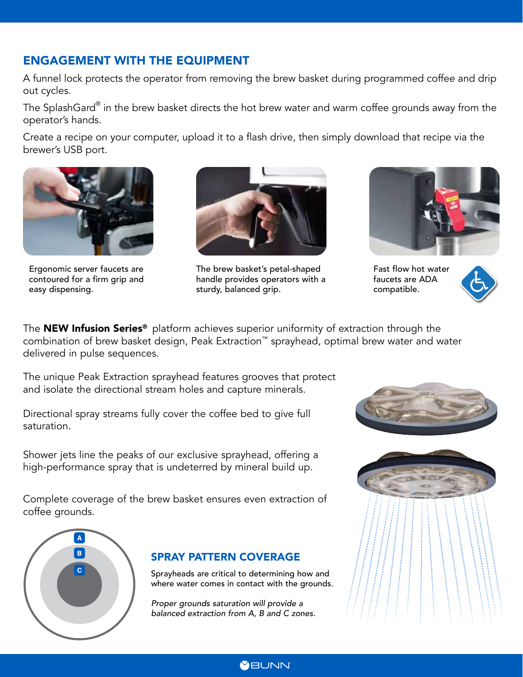## ENGAGEMENT WITH THE EQUIPMENT

A funnel lock protects the operator from removing the brew basket during programmed coffee and drip out cycles.

The SplashGard $^\circ$  in the brew basket directs the hot brew water and warm coffee grounds away from the operator's hands.

Create a recipe on your computer, upload it to a flash drive, then simply download that recipe via the brewer's USB port.



Ergonomic server faucets are contoured for a firm grip and easy dispensing.



The brew basket's petal-shaped handle provides operators with a sturdy, balanced grip.



Fast flow hot water faucets are ADA compatible.



The **NEW Infusion Series<sup>®</sup>** platform achieves superior uniformity of extraction through the combination of brew basket design, Peak Extraction™ sprayhead, optimal brew water and water delivered in pulse sequences.

The unique Peak Extraction sprayhead features grooves that protect and isolate the directional stream holes and capture minerals.

Directional spray streams fully cover the coffee bed to give full saturation.

Shower jets line the peaks of our exclusive sprayhead, offering a high-performance spray that is undeterred by mineral build up.

Complete coverage of the brew basket ensures even extraction of coffee grounds.



## SPRAY PATTERN COVERAGE

Sprayheads are critical to determining how and where water comes in contact with the grounds.

*Proper grounds saturation will provide a balanced extraction from A, B and C zones.*